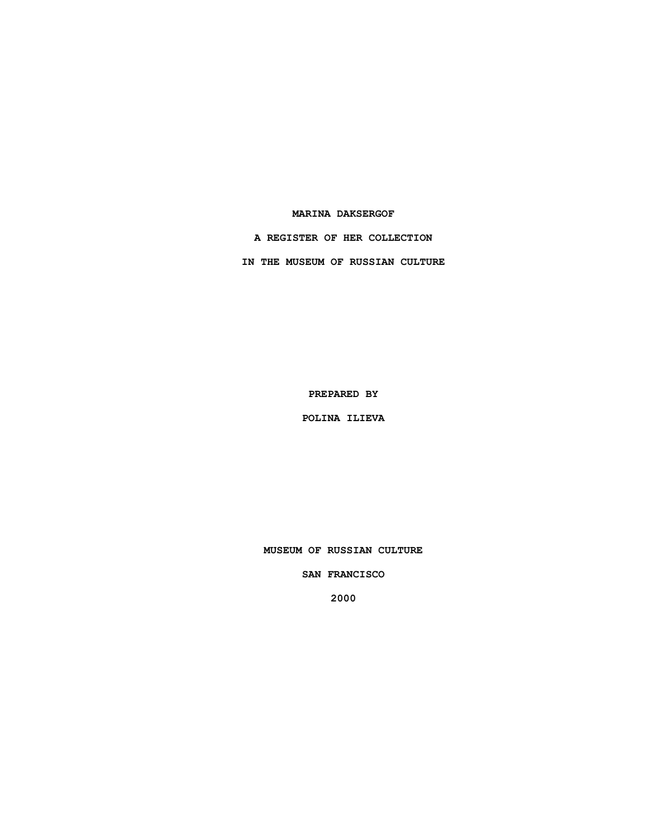## **MARINA DAKSERGOF**

**A REGISTER OF HER COLLECTION**

**IN THE MUSEUM OF RUSSIAN CULTURE**

**PREPARED BY**

**POLINA ILIEVA**

**MUSEUM OF RUSSIAN CULTURE**

**SAN FRANCISCO**

**2000**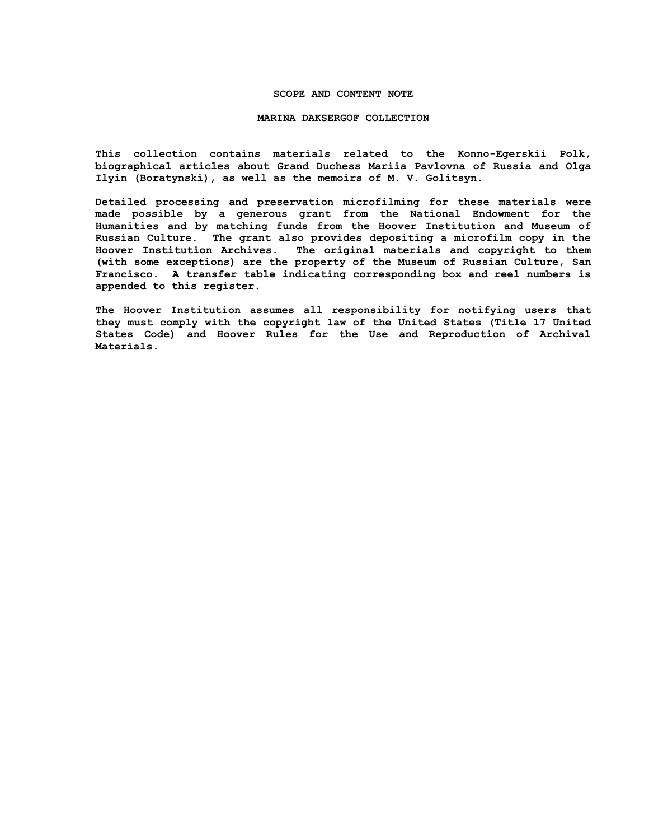## **SCOPE AND CONTENT NOTE**

#### **MARINA DAKSERGOF COLLECTION**

**This collection contains materials related to the Konno-Egerskii Polk, biographical articles about Grand Duchess Mariia Pavlovna of Russia and Olga Ilyin (Boratynski), as well as the memoirs of M. V. Golitsyn.**

**Detailed processing and preservation microfilming for these materials were made possible by a generous grant from the National Endowment for the Humanities and by matching funds from the Hoover Institution and Museum of Russian Culture. The grant also provides depositing a microfilm copy in the Hoover Institution Archives. The original materials and copyright to them (with some exceptions) are the property of the Museum of Russian Culture, San Francisco. A transfer table indicating corresponding box and reel numbers is appended to this register.**

**The Hoover Institution assumes all responsibility for notifying users that they must comply with the copyright law of the United States (Title 17 United States Code) and Hoover Rules for the Use and Reproduction of Archival Materials.**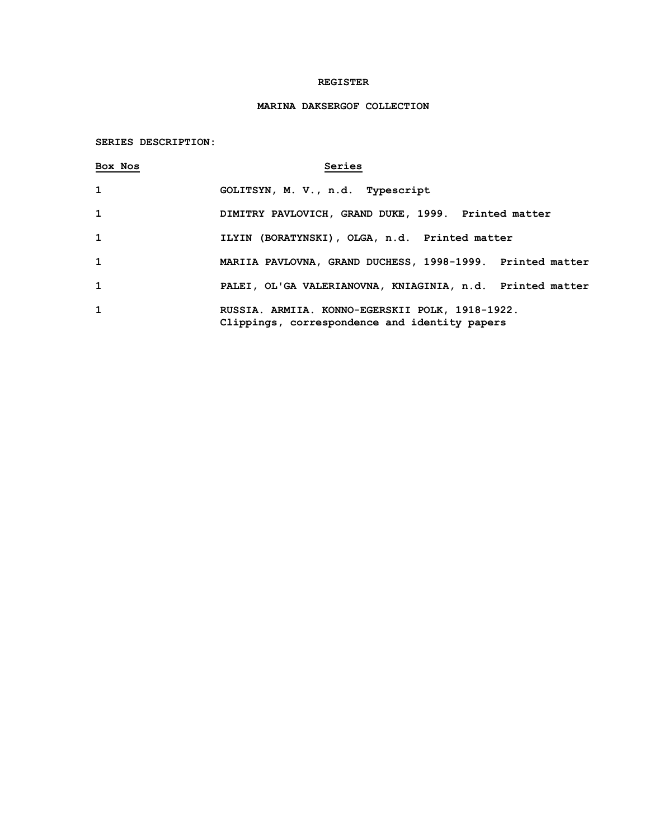## **REGISTER**

# **MARINA DAKSERGOF COLLECTION**

# **SERIES DESCRIPTION:**

| Box Nos      | Series                                                                                           |
|--------------|--------------------------------------------------------------------------------------------------|
| $\mathbf{1}$ | GOLITSYN, M. V., n.d. Typescript                                                                 |
| $\mathbf{1}$ | DIMITRY PAVLOVICH, GRAND DUKE, 1999. Printed matter                                              |
| $\mathbf{1}$ | ILYIN (BORATYNSKI), OLGA, n.d. Printed matter                                                    |
| $\mathbf{1}$ | MARIIA PAVLOVNA, GRAND DUCHESS, 1998-1999. Printed matter                                        |
| $\mathbf{1}$ | PALEI, OL'GA VALERIANOVNA, KNIAGINIA, n.d. Printed matter                                        |
| $\mathbf{1}$ | RUSSIA. ARMIIA. KONNO-EGERSKII POLK, 1918-1922.<br>Clippings, correspondence and identity papers |